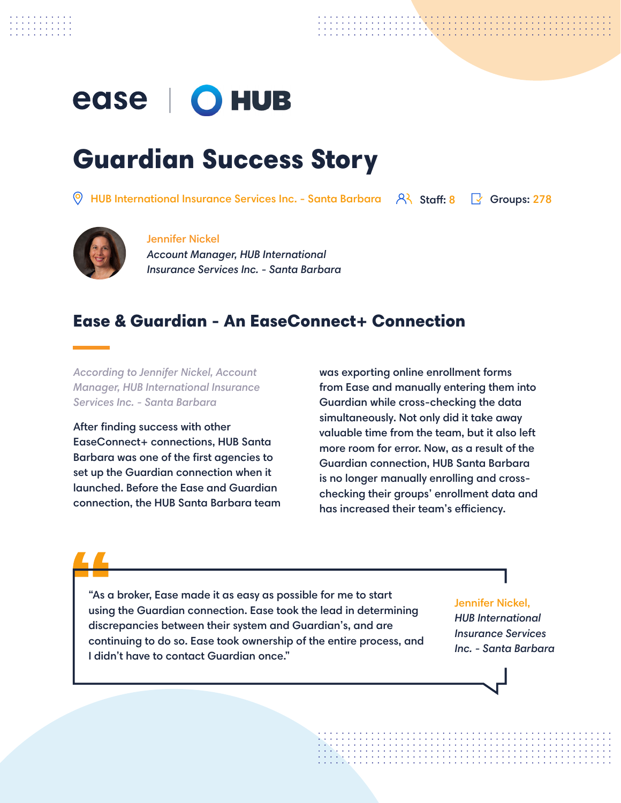# ease | O HUB

## Guardian Success Story

HUB International Insurance Services Inc. - Santa Barbara  $\quad$   $\mathsf{R}\setminus\mathsf{S}$  staff: 8  $\quad$   $\mathsf{G}$  Groups: 278



#### Jennifer Nickel

*Account Manager, HUB International Insurance Services Inc. - Santa Barbara*

#### Ease & Guardian - An EaseConnect+ Connection

*According to Jennifer Nickel, Account Manager, HUB International Insurance Services Inc. - Santa Barbara*

After finding success with other EaseConnect+ connections, HUB Santa Barbara was one of the first agencies to set up the Guardian connection when it launched. Before the Ease and Guardian connection, the HUB Santa Barbara team was exporting online enrollment forms from Ease and manually entering them into Guardian while cross-checking the data simultaneously. Not only did it take away valuable time from the team, but it also left more room for error. Now, as a result of the Guardian connection, HUB Santa Barbara is no longer manually enrolling and crosschecking their groups' enrollment data and has increased their team's efficiency.

"As a broker, Ease made it as easy as possible for me to start using the Guardian connection. Ease took the lead in determining discrepancies between their system and Guardian's, and are continuing to do so. Ease took ownership of the entire process, and I didn't have to contact Guardian once."

Jennifer Nickel,

*HUB International Insurance Services Inc. - Santa Barbara*